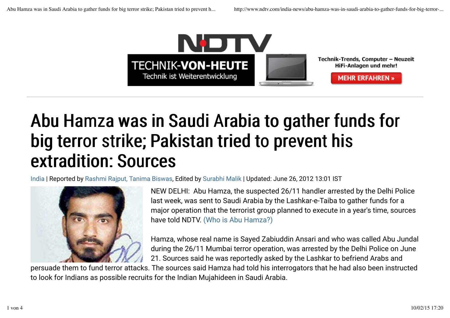

## Abu Hamza was in Saudi Arabia to gather funds for big terror strike; Pakistan tried to prevent his extradition: Sources

India | Reported by Rashmi Rajput, Tanima Biswas, Edited by Surabhi Malik | Updated: June 26, 2012 13:01 IST



NEW DELHI: Abu Hamza, the suspected 26/11 handler arrested by the Delhi Police last week, was sent to Saudi Arabia by the Lashkar-e-Taiba to gather funds for a major operation that the terrorist group planned to execute in a year's time, sources have told NDTV. (Who is Abu Hamza?)

Hamza, whose real name is Sayed Zabiuddin Ansari and who was called Abu Jundal during the 26/11 Mumbai terror operation, was arrested by the Delhi Police on June 21. Sources said he was reportedly asked by the Lashkar to befriend Arabs and

persuade them to fund terror attacks. The sources said Hamza had told his interrogators that he had also been instructed to look for Indians as possible recruits for the Indian Mujahideen in Saudi Arabia.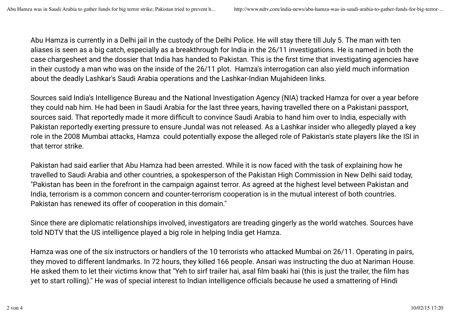Abu Hamza is currently in a Delhi jail in the custody of the Delhi Police. He will stay there till July 5. The man with ten aliases is seen as a big catch, especially as a breakthrough for India in the 26/11 investigations. He is named in both the case chargesheet and the dossier that India has handed to Pakistan. This is the first time that investigating agencies have in their custody a man who was on the inside of the 26/11 plot. Hamza's interrogation can also yield much information about the deadly Lashkar's Saudi Arabia operations and the Lashkar-Indian Mujahideen links.

Sources said India's Intelligence Bureau and the National Investigation Agency (NIA) tracked Hamza for over a year before they could nab him. He had been in Saudi Arabia for the last three years, having travelled there on a Pakistani passport, sources said. That reportedly made it more difficult to convince Saudi Arabia to hand him over to India, especially with Pakistan reportedly exerting pressure to ensure Jundal was not released. As a Lashkar insider who allegedly played a key role in the 2008 Mumbai attacks, Hamza could potentially expose the alleged role of Pakistan's state players like the ISI in that terror strike.

Pakistan had said earlier that Abu Hamza had been arrested. While it is now faced with the task of explaining how he travelled to Saudi Arabia and other countries, a spokesperson of the Pakistan High Commission in New Delhi said today, "Pakistan has been in the forefront in the campaign against terror. As agreed at the highest level between Pakistan and India, terrorism is a common concern and counter-terrorism cooperation is in the mutual interest of both countries. Pakistan has renewed its offer of cooperation in this domain."

Since there are diplomatic relationships involved, investigators are treading gingerly as the world watches. Sources have told NDTV that the US intelligence played a big role in helping India get Hamza.

Hamza was one of the six instructors or handlers of the 10 terrorists who attacked Mumbai on 26/11. Operating in pairs, they moved to different landmarks. In 72 hours, they killed 166 people. Ansari was instructing the duo at Nariman House. He asked them to let their victims know that "Yeh to sirf trailer hai, asal film baaki hai (this is just the trailer, the film has yet to start rolling)." He was of special interest to Indian intelligence officials because he used a smattering of Hindi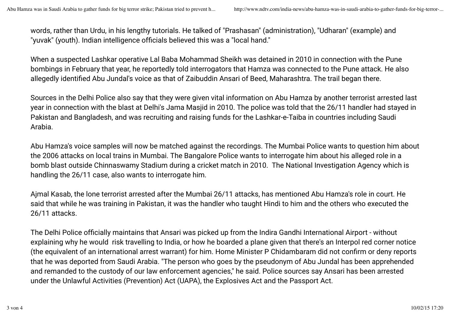words, rather than Urdu, in his lengthy tutorials. He talked of "Prashasan" (administration), "Udharan" (example) and "yuvak" (youth). Indian intelligence officials believed this was a "local hand."

When a suspected Lashkar operative Lal Baba Mohammad Sheikh was detained in 2010 in connection with the Pune bombings in February that year, he reportedly told interrogators that Hamza was connected to the Pune attack. He also allegedly identified Abu Jundal's voice as that of Zaibuddin Ansari of Beed, Maharashtra. The trail began there.

Sources in the Delhi Police also say that they were given vital information on Abu Hamza by another terrorist arrested last year in connection with the blast at Delhi's Jama Masjid in 2010. The police was told that the 26/11 handler had stayed in Pakistan and Bangladesh, and was recruiting and raising funds for the Lashkar-e-Taiba in countries including Saudi Arabia.

Abu Hamza's voice samples will now be matched against the recordings. The Mumbai Police wants to question him about the 2006 attacks on local trains in Mumbai. The Bangalore Police wants to interrogate him about his alleged role in a bomb blast outside Chinnaswamy Stadium during a cricket match in 2010. The National Investigation Agency which is handling the 26/11 case, also wants to interrogate him.

Ajmal Kasab, the lone terrorist arrested after the Mumbai 26/11 attacks, has mentioned Abu Hamza's role in court. He said that while he was training in Pakistan, it was the handler who taught Hindi to him and the others who executed the 26/11 attacks.

The Delhi Police officially maintains that Ansari was picked up from the Indira Gandhi International Airport - without explaining why he would risk travelling to India, or how he boarded a plane given that there's an Interpol red corner notice (the equivalent of an international arrest warrant) for him. Home Minister P Chidambaram did not confirm or deny reports that he was deported from Saudi Arabia. "The person who goes by the pseudonym of Abu Jundal has been apprehended and remanded to the custody of our law enforcement agencies," he said. Police sources say Ansari has been arrested under the Unlawful Activities (Prevention) Act (UAPA), the Explosives Act and the Passport Act.